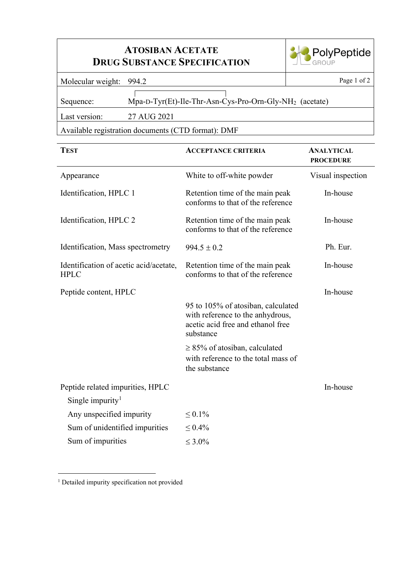## **ATOSIBAN ACETATE DRUG SUBSTANCE SPECIFICATION**



Molecular weight: 994.2 Page 1 of 2

 $\lceil$ Sequence: Mpa-D-Tyr(Et)-Ile-Thr-Asn-Cys-Pro-Orn-Gly-NH<sub>2</sub> (acetate)

Last version: 27 AUG 2021

Available registration documents (CTD format): DMF

| <b>TEST</b>                                           | <b>ACCEPTANCE CRITERIA</b>                                                                                               | <b>ANALYTICAL</b><br><b>PROCEDURE</b> |
|-------------------------------------------------------|--------------------------------------------------------------------------------------------------------------------------|---------------------------------------|
| Appearance                                            | White to off-white powder                                                                                                | Visual inspection                     |
| Identification, HPLC 1                                | Retention time of the main peak<br>conforms to that of the reference                                                     | In-house                              |
| Identification, HPLC 2                                | Retention time of the main peak<br>conforms to that of the reference                                                     | In-house                              |
| Identification, Mass spectrometry                     | $994.5 \pm 0.2$                                                                                                          | Ph. Eur.                              |
| Identification of acetic acid/acetate,<br><b>HPLC</b> | Retention time of the main peak<br>conforms to that of the reference                                                     | In-house                              |
| Peptide content, HPLC                                 |                                                                                                                          | In-house                              |
|                                                       | 95 to 105% of atosiban, calculated<br>with reference to the anhydrous,<br>acetic acid free and ethanol free<br>substance |                                       |
|                                                       | $\geq$ 85% of atosiban, calculated<br>with reference to the total mass of<br>the substance                               |                                       |
| Peptide related impurities, HPLC                      |                                                                                                                          | In-house                              |
| Single impurity <sup>1</sup>                          |                                                                                                                          |                                       |
| Any unspecified impurity                              | $\leq 0.1\%$                                                                                                             |                                       |
| Sum of unidentified impurities                        | $\leq 0.4\%$                                                                                                             |                                       |
| Sum of impurities                                     | $\leq 3.0\%$                                                                                                             |                                       |

<span id="page-0-0"></span><sup>1</sup> Detailed impurity specification not provided